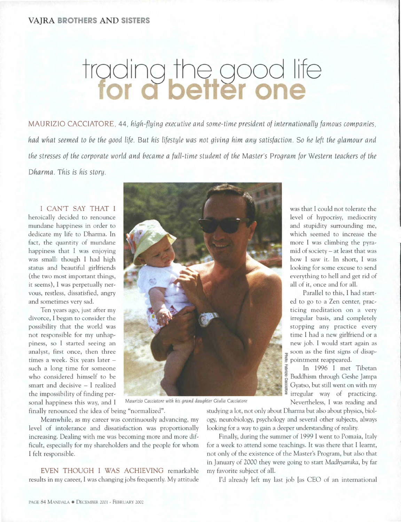## trading the good life

MAURIZIO CACCIATORE, 44, *high-flying executive and some - time president of internationally famous companies, had what seemed to be the good life. But his lifestyle was not giving him any satisfaction. So he left the glamour and the stresses of the corporate world and became a full-time student of the Master's Program for Western teachers of the Dharrna. This is his story.* 

I CAN'T SAY THAT I heroically decided to renounce mundane happiness in order to dedicate my life to Dharma. In fact, the quantity of mundane happiness that I was enjoying was small: though I had high status and beautiful girlfriends (the two most important things, it seems), I was perpetually nervous, restless, dissatisfied, angry and sometimes very sad.

Ten years ago, just after my divorce, I began to consider the possibility that the world was not responsible for my unhappiness, so I started seeing an analyst, first once, then three times a week. Six years later such a long time for someone who considered himself to be smart and decisive — I realized the impossibility of finding personal happiness this way, and I

Maurizio Cacciatore with his grand daughter Giulia Cacciatore Nevertheless, I was reading and

finally renounced the idea of being "normalized".

Meanwhile, as my career was continuously advancing, my level of intolerance and dissatisfaction was proportionally increasing. Dealing with me was becoming more and more difficult, especially for my shareholders and the people for whom I felt responsible.

EVEN THOUGH I WAS ACHIEVING remarkable results in my career, I was changing jobs frequently. My attitude studying a lot, not only about Dharma but also about physics, biology, neurobiology, psychology and several other subjects, always looking for a way to gain a deeper understanding of reality.

Finally, during the summer of 1999 I went to Pomaia, Italy for a week to attend some teachings. It was there that I learnt, not only of the existence of the Master's Program, but also that in January of 2000 they were going to start *Madhyamika*, by far myfavorite subject of all.

I'd already left my last job [as CEO of an international

was that I could not tolerate the level of hypocrisy, mediocrity and stupidity surrounding me, which seemed to increase the more I was climbing the pyramid of society— at least that was how I saw it. In short, I was looking for some excuse to send everything to hell and get rid of all of it, once and for all.

Parallel to this, I had started to go to a Zen center, practicing meditation on a very irregular basis, and completely stopping any practice every time I had a new girlfriend or a new job. I would start again as soon as the first signs of disappointment reappeared.

• In 1996 I met Tibetan as<br>Buddhism through Geshe Jampa<br>*2*<br>*2* Gyatso, but still went on with my irregular way of practicing.